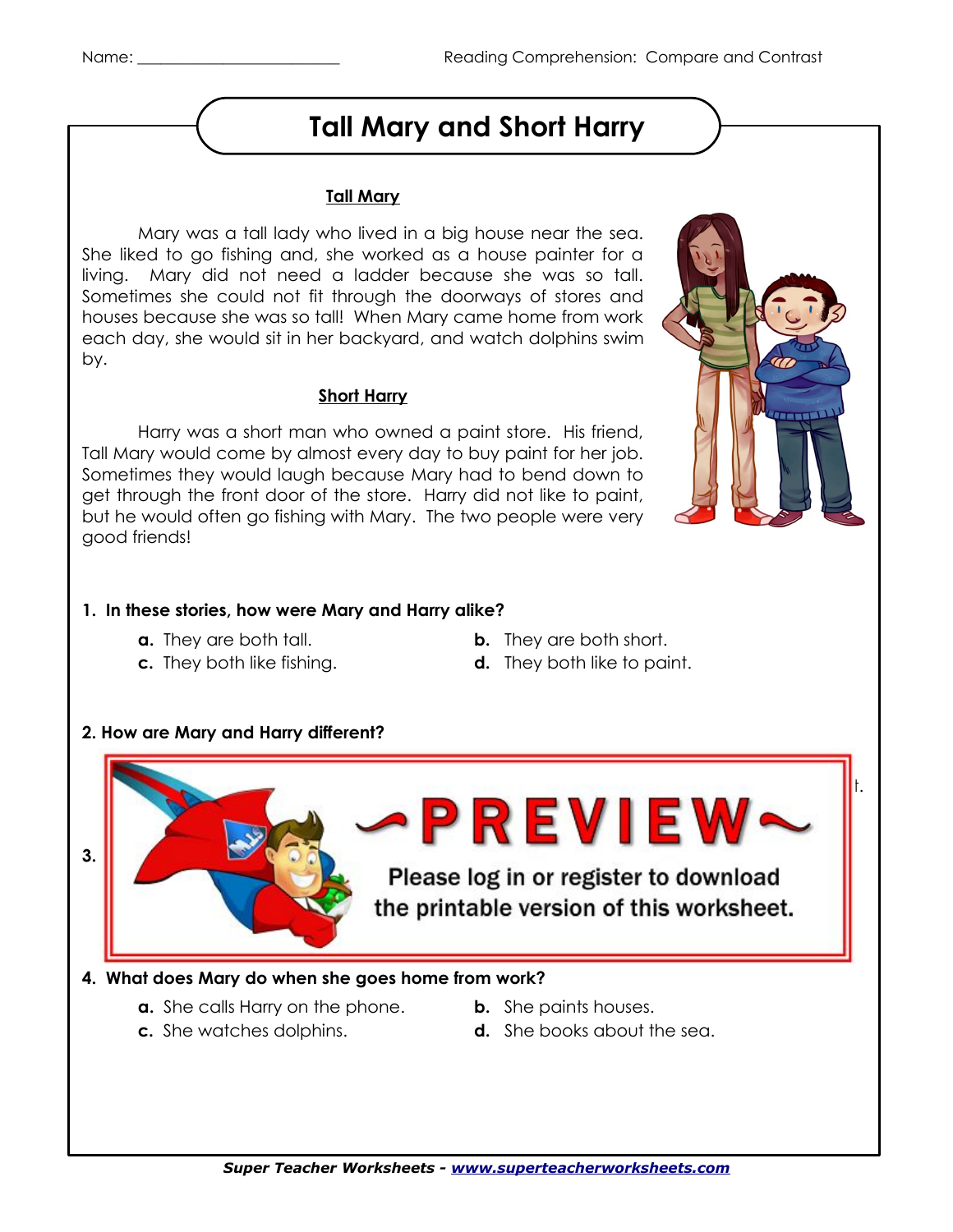### **Tall Mary and Short Harry**

#### **Tall Mary**

Mary was a tall lady who lived in a big house near the sea. She liked to go fishing and, she worked as a house painter for a living. Mary did not need a ladder because she was so tall. Sometimes she could not fit through the doorways of stores and houses because she was so tall! When Mary came home from work each day, she would sit in her backyard, and watch dolphins swim by.

#### **Short Harry**

Harry was a short man who owned a paint store. His friend, Tall Mary would come by almost every day to buy paint for her job. Sometimes they would laugh because Mary had to bend down to get through the front door of the store. Harry did not like to paint, but he would often go fishing with Mary. The two people were very good friends!

#### **1. In these stories, how were Mary and Harry alike?**

- 
- 
- **a.** They are both tall. **b.** They are both short.
- **c.** They both like fishing. **d.** They both like to paint.



**a.** Harry likes to fish and Mary doesn't. **b.** Harry has a store and Mary doesn't. **C. A. R. A. R. A. Mary doesn't.** Mary is tall and Mary doesn't. And Mary doesn't. And Mary doesn't. And Mary doesn't. A. M. Mary doesn't. All and Mary doesn't. All and Mary doesn't. All and Mary doesn't. All and Mary does -PREVIEW~ **3. When they are in Harry's paint store, when they are in Harry's paint store, when they are in the store, when they are in the store, when they are in the store, when they are in the store, when the store, when the store** Please log in or register to download the printable version of this worksheet.

#### **4. What does Mary do when she goes home from work?**

- **a.** She calls Harry on the phone. **b.** She paints houses.
- 
- 
- **c.** She watches dolphins. **d.** She books about the sea.